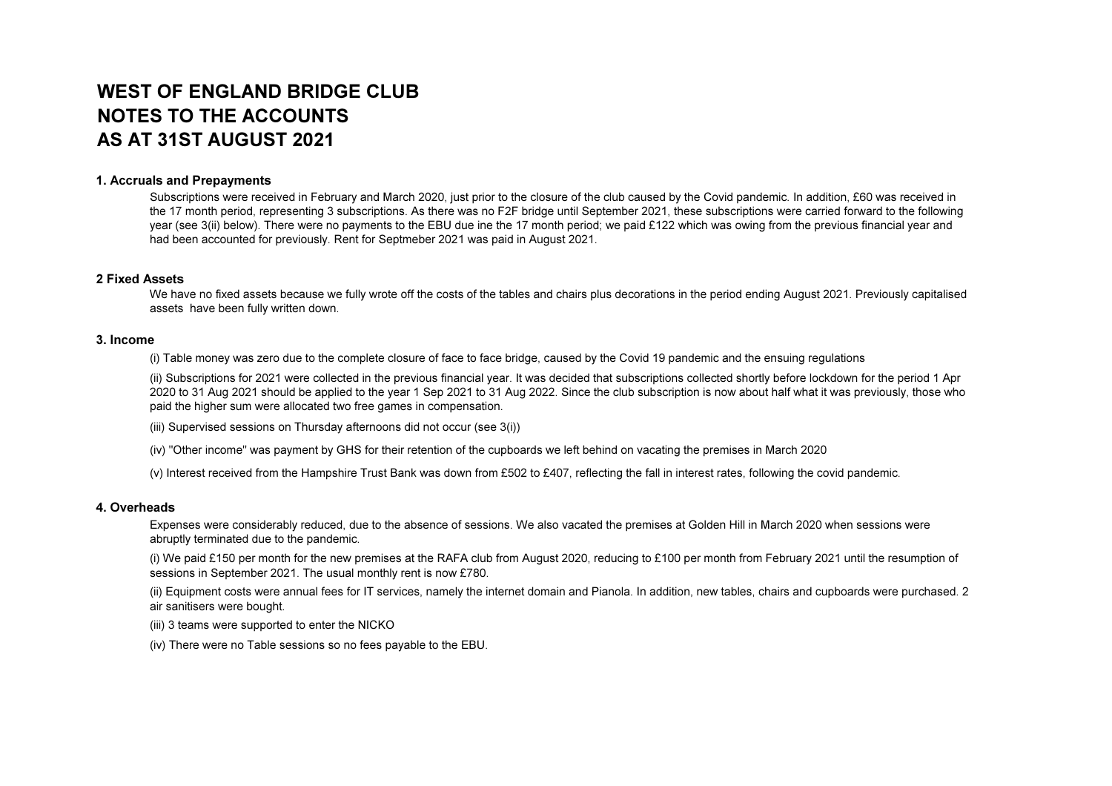# WEST OF ENGLAND BRIDGE CLUBNOTES TO THE ACCOUNTSAS AT 31ST AUGUST 2021

# 1. Accruals and Prepayments

 Subscriptions were received in February and March 2020, just prior to the closure of the club caused by the Covid pandemic. In addition, £60 was received in the 17 month period, representing 3 subscriptions. As there was no F2F bridge until September 2021, these subscriptions were carried forward to the following year (see 3(ii) below). There were no payments to the EBU due ine the 17 month period; we paid £122 which was owing from the previous financial year and had been accounted for previously. Rent for Septmeber 2021 was paid in August 2021.

## 2 Fixed Assets

 We have no fixed assets because we fully wrote off the costs of the tables and chairs plus decorations in the period ending August 2021. Previously capitalised assets have been fully written down.

#### 3. Income

(i) Table money was zero due to the complete closure of face to face bridge, caused by the Covid 19 pandemic and the ensuing regulations

(ii) Subscriptions for 2021 were collected in the previous financial year. It was decided that subscriptions collected shortly before lockdown for the period 1 Apr 2020 to 31 Aug 2021 should be applied to the year 1 Sep 2021 to 31 Aug 2022. Since the club subscription is now about half what it was previously, those who paid the higher sum were allocated two free games in compensation.

(iii) Supervised sessions on Thursday afternoons did not occur (see 3(i))

(iv) "Other income" was payment by GHS for their retention of the cupboards we left behind on vacating the premises in March 2020

(v) Interest received from the Hampshire Trust Bank was down from £502 to £407, reflecting the fall in interest rates, following the covid pandemic.

## 4. Overheads

 Expenses were considerably reduced, due to the absence of sessions. We also vacated the premises at Golden Hill in March 2020 when sessions were abruptly terminated due to the pandemic.

(i) We paid £150 per month for the new premises at the RAFA club from August 2020, reducing to £100 per month from February 2021 until the resumption of sessions in September 2021. The usual monthly rent is now £780.

(ii) Equipment costs were annual fees for IT services, namely the internet domain and Pianola. In addition, new tables, chairs and cupboards were purchased. 2 air sanitisers were bought.

(iii) 3 teams were supported to enter the NICKO

(iv) There were no Table sessions so no fees payable to the EBU.